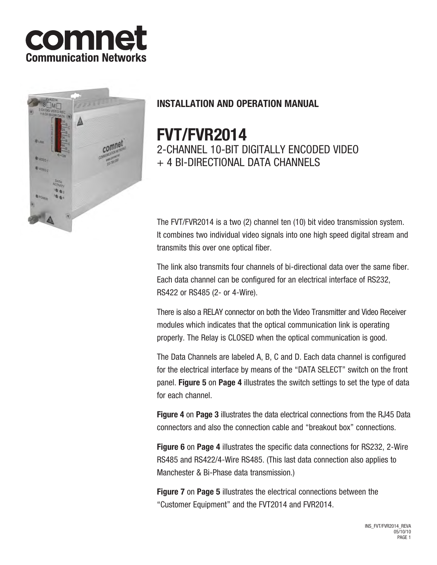



# **INSTALLATION AND OPERATION MANUAL**

# **FVT/FVR2014**

2-CHANNEL 10-BIT DIGITALLY ENCODED VIDEO + 4 BI-DIRECTIONAL DATA CHANNELS

The FVT/FVR2014 is a two (2) channel ten (10) bit video transmission system. It combines two individual video signals into one high speed digital stream and transmits this over one optical fiber.

The link also transmits four channels of bi-directional data over the same fiber. Each data channel can be configured for an electrical interface of RS232, RS422 or RS485 (2- or 4-Wire).

There is also a RELAY connector on both the Video Transmitter and Video Receiver modules which indicates that the optical communication link is operating properly. The Relay is CLOSED when the optical communication is good.

The Data Channels are labeled A, B, C and D. Each data channel is configured for the electrical interface by means of the "DATA SELECT" switch on the front panel. **Figure 5** on **Page 4** illustrates the switch settings to set the type of data for each channel.

**Figure 4** on **Page 3** illustrates the data electrical connections from the RJ45 Data connectors and also the connection cable and "breakout box" connections.

**Figure 6** on **Page 4** illustrates the specific data connections for RS232, 2-Wire RS485 and RS422/4-Wire RS485. (This last data connection also applies to Manchester & Bi-Phase data transmission.)

**Figure 7** on **Page 5** illustrates the electrical connections between the "Customer Equipment" and the FVT2014 and FVR2014.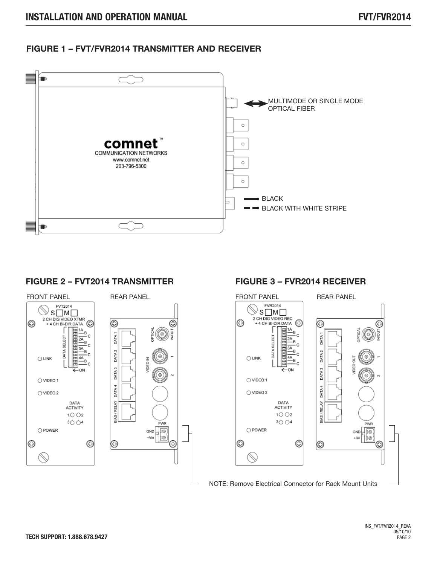## **FIGURE 1 – FVT/FVR2014 TRANSMITTER AND RECEIVER**



#### **FIGURE 2 – FVT2014 TRANSMITTER**



## **FIGURE 3 – FVR2014 RECEIVER**

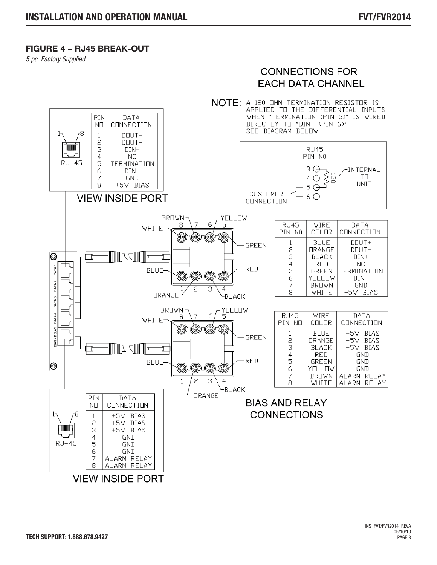### **FIGURE 4 – RJ45 BREAK-OUT**

*5 pc. Factory Supplied*

# **CONNECTIONS FOR EACH DATA CHANNEL**

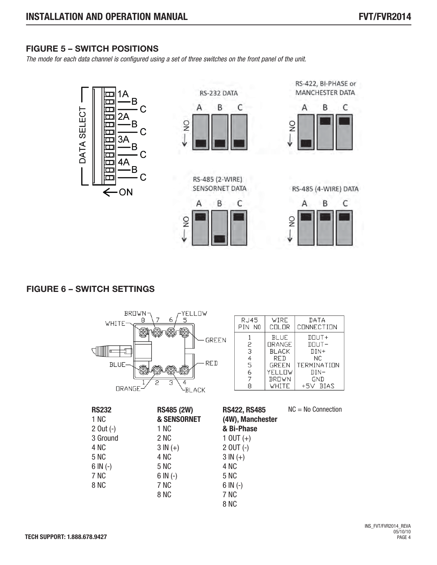# **FIGURE 5 – SWITCH POSITIONS**

*The mode for each data channel is configured using a set of three switches on the front panel of the unit.*



## **FIGURE 6 – SWITCH SETTINGS**

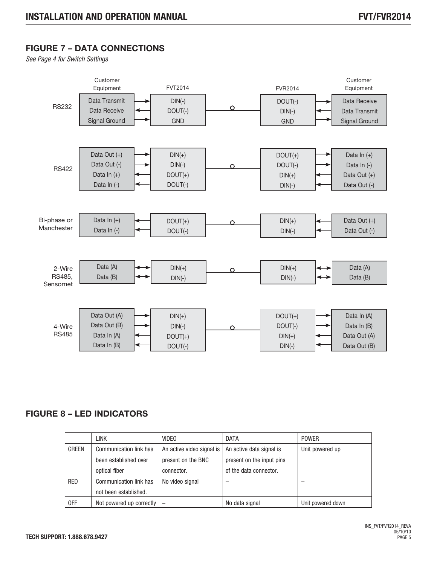# **FIGURE 7 – DATA CONNECTIONS**

*See Page 4 for Switch Settings*



# **FIGURE 8 – LED INDICATORS**

|              | <b>LINK</b>                   | <b>VIDEO</b>              | <b>DATA</b>               | <b>POWER</b>      |
|--------------|-------------------------------|---------------------------|---------------------------|-------------------|
| <b>GREEN</b> | <b>Communication link has</b> | An active video signal is | An active data signal is  | Unit powered up   |
|              | been established over         | present on the BNC        | present on the input pins |                   |
|              | optical fiber                 | connector.                | of the data connector.    |                   |
| <b>RED</b>   | Communication link has        | No video signal           | -                         |                   |
|              | not been established.         |                           |                           |                   |
| 0FF          | Not powered up correctly      | $\overline{\phantom{m}}$  | No data signal            | Unit powered down |